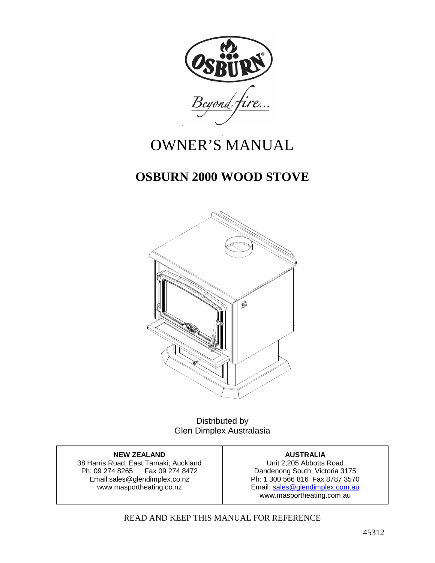

# OWNER'S MANUAL

## **OSBURN 2000 WOOD STOVE**



Distributed by Glen Dimplex Australasia

#### **NEW ZEALAND**

38 Harris Road, East Tamaki, Auckland Fax 09 274 8472 Email:sales@glendimplex.co.nz www.masportheating.co.nz

**AUSTRALIA**  Unit 2,205 Abbotts Road Dandenong South, Victoria 3175 Ph: 1 300 566 816 Fax 8787 3570 Email: sales@glendimplex.com.au www.masportheating.com.au

READ AND KEEP THIS MANUAL FOR REFERENCE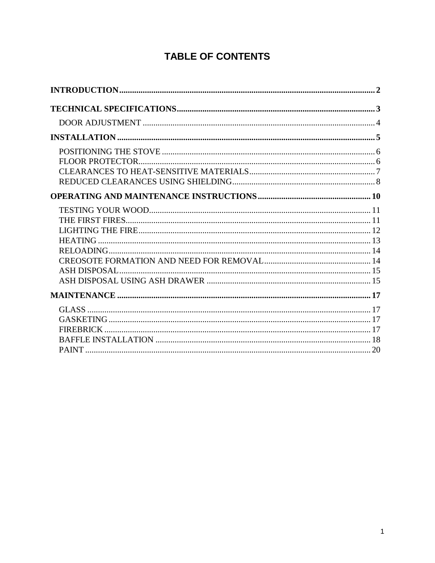## **TABLE OF CONTENTS**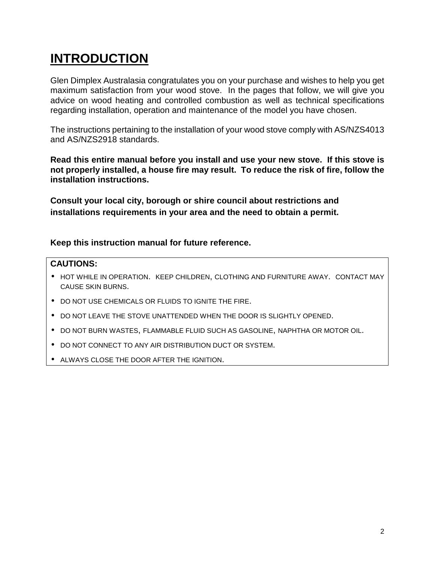## **INTRODUCTION**

Glen Dimplex Australasia congratulates you on your purchase and wishes to help you get maximum satisfaction from your wood stove. In the pages that follow, we will give you advice on wood heating and controlled combustion as well as technical specifications regarding installation, operation and maintenance of the model you have chosen.

The instructions pertaining to the installation of your wood stove comply with AS/NZS4013 and AS/NZS2918 standards.

**Read this entire manual before you install and use your new stove. If this stove is not properly installed, a house fire may result. To reduce the risk of fire, follow the installation instructions.** 

**Consult your local city, borough or shire council about restrictions and installations requirements in your area and the need to obtain a permit.** 

**Keep this instruction manual for future reference.** 

#### **CAUTIONS:**

- HOT WHILE IN OPERATION. KEEP CHILDREN, CLOTHING AND FURNITURE AWAY. CONTACT MAY CAUSE SKIN BURNS.
- DO NOT USE CHEMICALS OR FLUIDS TO IGNITE THE FIRE.
- DO NOT LEAVE THE STOVE UNATTENDED WHEN THE DOOR IS SLIGHTLY OPENED.
- DO NOT BURN WASTES, FLAMMABLE FLUID SUCH AS GASOLINE, NAPHTHA OR MOTOR OIL.
- DO NOT CONNECT TO ANY AIR DISTRIBUTION DUCT OR SYSTEM.
- ALWAYS CLOSE THE DOOR AFTER THE IGNITION.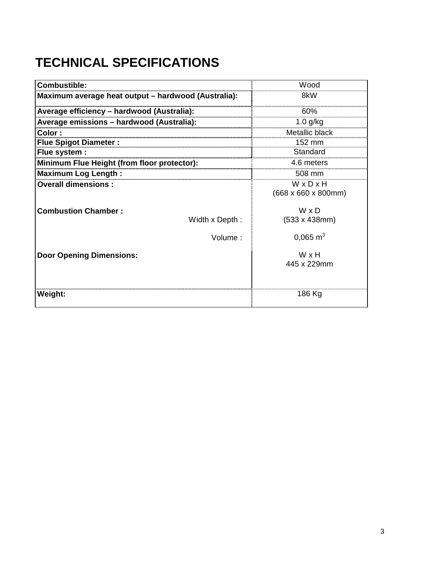# **TECHNICAL SPECIFICATIONS**

| <b>Combustible:</b>                                 | Wood                         |
|-----------------------------------------------------|------------------------------|
| Maximum average heat output - hardwood (Australia): | 8kW                          |
| Average efficiency - hardwood (Australia):          | 60%                          |
| Average emissions - hardwood (Australia):           | $1.0$ g/kg                   |
| Color:                                              | Metallic black               |
| <b>Flue Spigot Diameter:</b>                        | 152 mm                       |
| Flue system :                                       | Standard                     |
| Minimum Flue Height (from floor protector):         | 4.6 meters                   |
| <b>Maximum Log Length:</b>                          | 508 mm                       |
| <b>Overall dimensions:</b>                          | WxDxH<br>(668 x 660 x 800mm) |
| <b>Combustion Chamber:</b><br>Width x Depth:        | W x D<br>(533 x 438mm)       |
| Volume:                                             | $0,065 \text{ m}^3$          |
| <b>Door Opening Dimensions:</b>                     | W x H<br>445 x 229mm         |
| Weight:                                             | 186 Kg                       |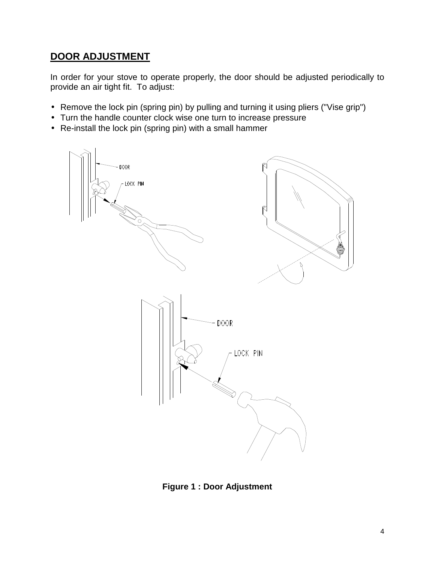#### **DOOR ADJUSTMENT**

In order for your stove to operate properly, the door should be adjusted periodically to provide an air tight fit. To adjust:

- Remove the lock pin (spring pin) by pulling and turning it using pliers ("Vise grip")
- Turn the handle counter clock wise one turn to increase pressure
- Re-install the lock pin (spring pin) with a small hammer



**Figure 1 : Door Adjustment**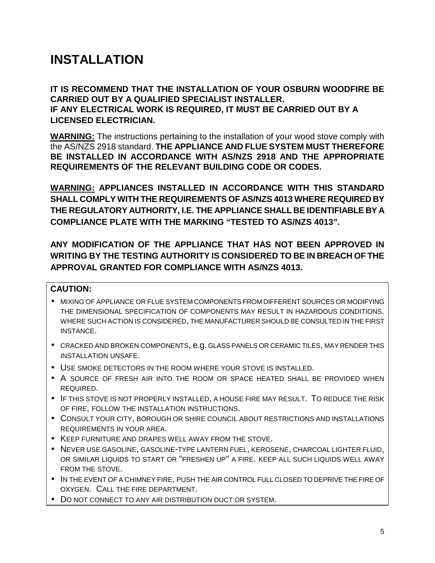## **INSTALLATION**

**IT IS RECOMMEND THAT THE INSTALLATION OF YOUR OSBURN WOODFIRE BE CARRIED OUT BY A QUALIFIED SPECIALIST INSTALLER. IF ANY ELECTRICAL WORK IS REQUIRED, IT MUST BE CARRIED OUT BY A LICENSED ELECTRICIAN.**

**WARNING:** The instructions pertaining to the installation of your wood stove comply with the AS/NZS 2918 standard. **THE APPLIANCE AND FLUE SYSTEM MUST THEREFORE BE INSTALLED IN ACCORDANCE WITH AS/NZS 2918 AND THE APPROPRIATE REQUIREMENTS OF THE RELEVANT BUILDING CODE OR CODES.** 

**WARNING: APPLIANCES INSTALLED IN ACCORDANCE WITH THIS STANDARD SHALL COMPLY WITH THE REQUIREMENTS OF AS/NZS 4013 WHERE REQUIRED BY THE REGULATORY AUTHORITY, I.E. THE APPLIANCE SHALL BE IDENTIFIABLE BY A COMPLIANCE PLATE WITH THE MARKING "TESTED TO AS/NZS 4013".** 

#### **ANY MODIFICATION OF THE APPLIANCE THAT HAS NOT BEEN APPROVED IN WRITING BY THE TESTING AUTHORITY IS CONSIDERED TO BE IN BREACH OF THE APPROVAL GRANTED FOR COMPLIANCE WITH AS/NZS 4013.**

#### **CAUTION:**

- MIXING OF APPLIANCE OR FLUE SYSTEM COMPONENTS FROM DIFFERENT SOURCES OR MODIFYING THE DIMENSIONAL SPECIFICATION OF COMPONENTS MAY RESULT IN HAZARDOUS CONDITIONS. WHERE SUCH ACTION IS CONSIDERED, THE MANUFACTURER SHOULD BE CONSULTED IN THE FIRST INSTANCE.
- CRACKED AND BROKEN COMPONENTS, e.g. GLASS PANELS OR CERAMIC TILES, MAY RENDER THIS INSTALLATION UNSAFE.
- USE SMOKE DETECTORS IN THE ROOM WHERE YOUR STOVE IS INSTALLED.
- A SOURCE OF FRESH AIR INTO THE ROOM OR SPACE HEATED SHALL BE PROVIDED WHEN REQUIRED.
- IF THIS STOVE IS NOT PROPERLY INSTALLED, A HOUSE FIRE MAY RESULT. TO REDUCE THE RISK OF FIRE, FOLLOW THE INSTALLATION INSTRUCTIONS.
- CONSULT YOUR CITY, BOROUGH OR SHIRE COUNCIL ABOUT RESTRICTIONS AND INSTALLATIONS REQUIREMENTS IN YOUR AREA.
- KEEP FURNITURE AND DRAPES WELL AWAY FROM THE STOVE.
- NEVER USE GASOLINE, GASOLINE-TYPE LANTERN FUEL, KEROSENE, CHARCOAL LIGHTER FLUID, OR SIMILAR LIQUIDS TO START OR "FRESHEN UP" A FIRE. KEEP ALL SUCH LIQUIDS WELL AWAY FROM THE STOVE.
- IN THE EVENT OF A CHIMNEY FIRE, PUSH THE AIR CONTROL FULL CLOSED TO DEPRIVE THE FIRE OF OXYGEN. CALL THE FIRE DEPARTMENT.
- DO NOT CONNECT TO ANY AIR DISTRIBUTION DUCT OR SYSTEM.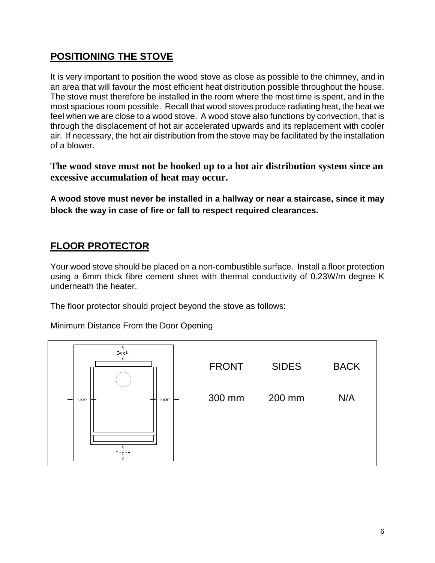### **POSITIONING THE STOVE**

It is very important to position the wood stove as close as possible to the chimney, and in an area that will favour the most efficient heat distribution possible throughout the house. The stove must therefore be installed in the room where the most time is spent, and in the most spacious room possible. Recall that wood stoves produce radiating heat, the heat we feel when we are close to a wood stove. A wood stove also functions by convection, that is through the displacement of hot air accelerated upwards and its replacement with cooler air. If necessary, the hot air distribution from the stove may be facilitated by the installation of a blower.

**The wood stove must not be hooked up to a hot air distribution system since an excessive accumulation of heat may occur.** 

**A wood stove must never be installed in a hallway or near a staircase, since it may block the way in case of fire or fall to respect required clearances.**

### **FLOOR PROTECTOR**

Your wood stove should be placed on a non-combustible surface. Install a floor protection using a 6mm thick fibre cement sheet with thermal conductivity of 0.23W/m degree K underneath the heater.

The floor protector should project beyond the stove as follows:

Minimum Distance From the Door Opening

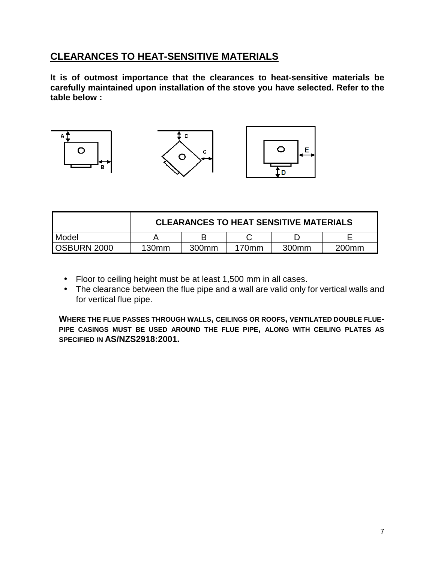### **CLEARANCES TO HEAT-SENSITIVE MATERIALS**

**It is of outmost importance that the clearances to heat-sensitive materials be carefully maintained upon installation of the stove you have selected. Refer to the table below :** 



|                    | <b>CLEARANCES TO HEAT SENSITIVE MATERIALS</b> |                   |          |       |                   |
|--------------------|-----------------------------------------------|-------------------|----------|-------|-------------------|
| Model              |                                               |                   |          |       |                   |
| <b>OSBURN 2000</b> | 130mm                                         | 300 <sub>mm</sub> | $170$ mm | 300mm | 200 <sub>mm</sub> |

- Floor to ceiling height must be at least 1,500 mm in all cases.
- The clearance between the flue pipe and a wall are valid only for vertical walls and for vertical flue pipe.

**WHERE THE FLUE PASSES THROUGH WALLS, CEILINGS OR ROOFS, VENTILATED DOUBLE FLUE-PIPE CASINGS MUST BE USED AROUND THE FLUE PIPE, ALONG WITH CEILING PLATES AS SPECIFIED IN AS/NZS2918:2001.**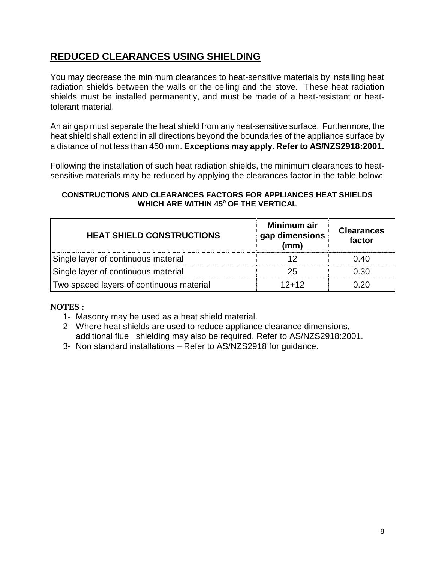### **REDUCED CLEARANCES USING SHIELDING**

You may decrease the minimum clearances to heat-sensitive materials by installing heat radiation shields between the walls or the ceiling and the stove. These heat radiation shields must be installed permanently, and must be made of a heat-resistant or heattolerant material.

An air gap must separate the heat shield from any heat-sensitive surface. Furthermore, the heat shield shall extend in all directions beyond the boundaries of the appliance surface by a distance of not less than 450 mm. **Exceptions may apply. Refer to AS/NZS2918:2001.** 

Following the installation of such heat radiation shields, the minimum clearances to heatsensitive materials may be reduced by applying the clearances factor in the table below:

#### **CONSTRUCTIONS AND CLEARANCES FACTORS FOR APPLIANCES HEAT SHIELDS WHICH ARE WITHIN 45<sup>O</sup> OF THE VERTICAL**

| <b>HEAT SHIELD CONSTRUCTIONS</b>         | Minimum air<br>gap dimensions<br>(mm) | <b>Clearances</b><br>factor |
|------------------------------------------|---------------------------------------|-----------------------------|
| Single layer of continuous material      |                                       | 0.40                        |
| Single layer of continuous material      | 25                                    | 0.30                        |
| Two spaced layers of continuous material | $12+12$                               |                             |

#### **NOTES :**

- 1- Masonry may be used as a heat shield material.
- 2- Where heat shields are used to reduce appliance clearance dimensions, additional flue shielding may also be required. Refer to AS/NZS2918:2001.
- 3- Non standard installations Refer to AS/NZS2918 for guidance.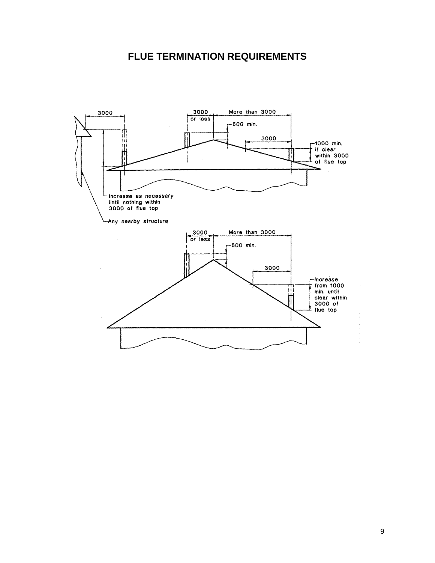### **FLUE TERMINATION REQUIREMENTS**

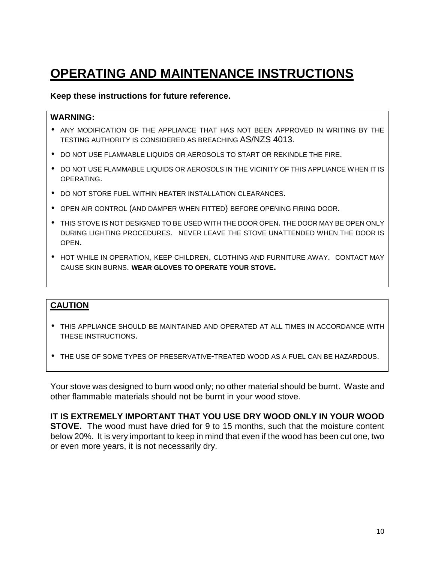## **OPERATING AND MAINTENANCE INSTRUCTIONS**

#### **Keep these instructions for future reference.**

#### **WARNING:**

- ANY MODIFICATION OF THE APPLIANCE THAT HAS NOT BEEN APPROVED IN WRITING BY THE TESTING AUTHORITY IS CONSIDERED AS BREACHING AS/NZS 4013.
- DO NOT USE FLAMMABLE LIQUIDS OR AEROSOLS TO START OR REKINDLE THE FIRE.
- DO NOT USE FLAMMABLE LIQUIDS OR AEROSOLS IN THE VICINITY OF THIS APPLIANCE WHEN IT IS OPERATING.
- DO NOT STORE FUEL WITHIN HEATER INSTALLATION CLEARANCES.
- OPEN AIR CONTROL (AND DAMPER WHEN FITTED) BEFORE OPENING FIRING DOOR.
- THIS STOVE IS NOT DESIGNED TO BE USED WITH THE DOOR OPEN. THE DOOR MAY BE OPEN ONLY DURING LIGHTING PROCEDURES. NEVER LEAVE THE STOVE UNATTENDED WHEN THE DOOR IS OPEN.
- HOT WHILE IN OPERATION, KEEP CHILDREN, CLOTHING AND FURNITURE AWAY. CONTACT MAY CAUSE SKIN BURNS. **WEAR GLOVES TO OPERATE YOUR STOVE.**

#### **CAUTION**

- THIS APPLIANCE SHOULD BE MAINTAINED AND OPERATED AT ALL TIMES IN ACCORDANCE WITH THESE INSTRUCTIONS.
- THE USE OF SOME TYPES OF PRESERVATIVE-TREATED WOOD AS A FUEL CAN BE HAZARDOUS.

Your stove was designed to burn wood only; no other material should be burnt. Waste and other flammable materials should not be burnt in your wood stove.

**IT IS EXTREMELY IMPORTANT THAT YOU USE DRY WOOD ONLY IN YOUR WOOD STOVE.** The wood must have dried for 9 to 15 months, such that the moisture content below 20%. It is very important to keep in mind that even if the wood has been cut one, two or even more years, it is not necessarily dry.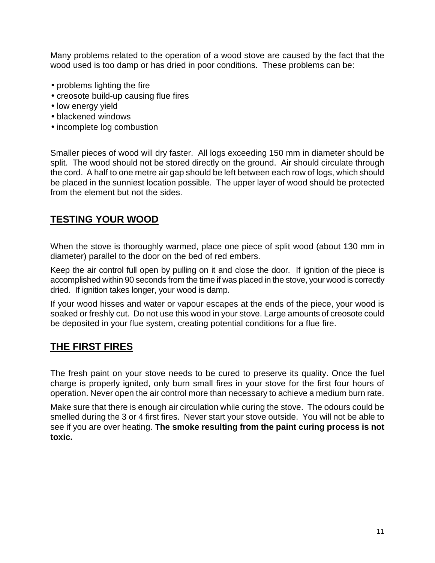Many problems related to the operation of a wood stove are caused by the fact that the wood used is too damp or has dried in poor conditions. These problems can be:

- problems lighting the fire
- creosote build-up causing flue fires
- low energy yield
- blackened windows
- incomplete log combustion

Smaller pieces of wood will dry faster. All logs exceeding 150 mm in diameter should be split. The wood should not be stored directly on the ground. Air should circulate through the cord. A half to one metre air gap should be left between each row of logs, which should be placed in the sunniest location possible. The upper layer of wood should be protected from the element but not the sides.

### **TESTING YOUR WOOD**

When the stove is thoroughly warmed, place one piece of split wood (about 130 mm in diameter) parallel to the door on the bed of red embers.

Keep the air control full open by pulling on it and close the door. If ignition of the piece is accomplished within 90 seconds from the time if was placed in the stove, your wood is correctly dried. If ignition takes longer, your wood is damp.

If your wood hisses and water or vapour escapes at the ends of the piece, your wood is soaked or freshly cut. Do not use this wood in your stove. Large amounts of creosote could be deposited in your flue system, creating potential conditions for a flue fire.

### **THE FIRST FIRES**

The fresh paint on your stove needs to be cured to preserve its quality. Once the fuel charge is properly ignited, only burn small fires in your stove for the first four hours of operation. Never open the air control more than necessary to achieve a medium burn rate.

Make sure that there is enough air circulation while curing the stove. The odours could be smelled during the 3 or 4 first fires. Never start your stove outside. You will not be able to see if you are over heating. **The smoke resulting from the paint curing process is not toxic.**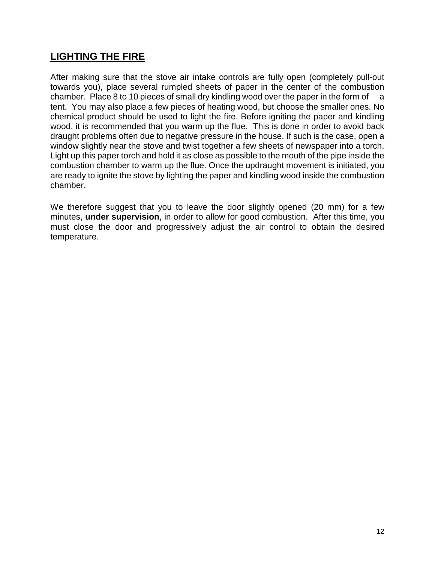### **LIGHTING THE FIRE**

After making sure that the stove air intake controls are fully open (completely pull-out towards you), place several rumpled sheets of paper in the center of the combustion chamber. Place 8 to 10 pieces of small dry kindling wood over the paper in the form of  $a$ tent. You may also place a few pieces of heating wood, but choose the smaller ones. No chemical product should be used to light the fire. Before igniting the paper and kindling wood, it is recommended that you warm up the flue. This is done in order to avoid back draught problems often due to negative pressure in the house. If such is the case, open a window slightly near the stove and twist together a few sheets of newspaper into a torch. Light up this paper torch and hold it as close as possible to the mouth of the pipe inside the combustion chamber to warm up the flue. Once the updraught movement is initiated, you are ready to ignite the stove by lighting the paper and kindling wood inside the combustion chamber.

We therefore suggest that you to leave the door slightly opened (20 mm) for a few minutes, **under supervision**, in order to allow for good combustion. After this time, you must close the door and progressively adjust the air control to obtain the desired temperature.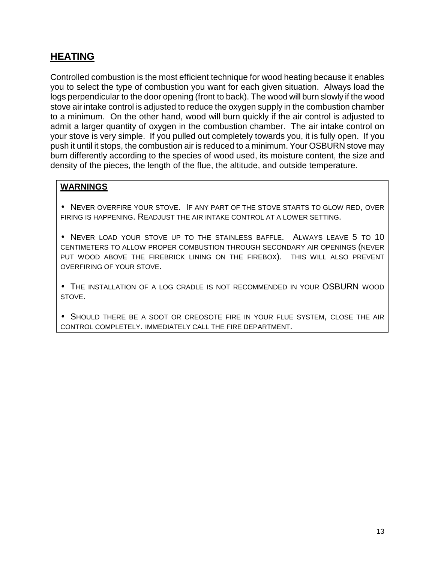### **HEATING**

Controlled combustion is the most efficient technique for wood heating because it enables you to select the type of combustion you want for each given situation. Always load the logs perpendicular to the door opening (front to back). The wood will burn slowly if the wood stove air intake control is adjusted to reduce the oxygen supply in the combustion chamber to a minimum. On the other hand, wood will burn quickly if the air control is adjusted to admit a larger quantity of oxygen in the combustion chamber. The air intake control on your stove is very simple. If you pulled out completely towards you, it is fully open. If you push it until it stops, the combustion air is reduced to a minimum. Your OSBURN stove may burn differently according to the species of wood used, its moisture content, the size and density of the pieces, the length of the flue, the altitude, and outside temperature.

#### **WARNINGS**

• NEVER OVERFIRE YOUR STOVE. IF ANY PART OF THE STOVE STARTS TO GLOW RED, OVER FIRING IS HAPPENING. READJUST THE AIR INTAKE CONTROL AT A LOWER SETTING.

• NEVER LOAD YOUR STOVE UP TO THE STAINLESS BAFFLE. ALWAYS LEAVE 5 TO 10 CENTIMETERS TO ALLOW PROPER COMBUSTION THROUGH SECONDARY AIR OPENINGS (NEVER PUT WOOD ABOVE THE FIREBRICK LINING ON THE FIREBOX). THIS WILL ALSO PREVENT OVERFIRING OF YOUR STOVE.

• THE INSTALLATION OF A LOG CRADLE IS NOT RECOMMENDED IN YOUR OSBURN WOOD STOVE.

• SHOULD THERE BE A SOOT OR CREOSOTE FIRE IN YOUR FLUE SYSTEM, CLOSE THE AIR CONTROL COMPLETELY. IMMEDIATELY CALL THE FIRE DEPARTMENT.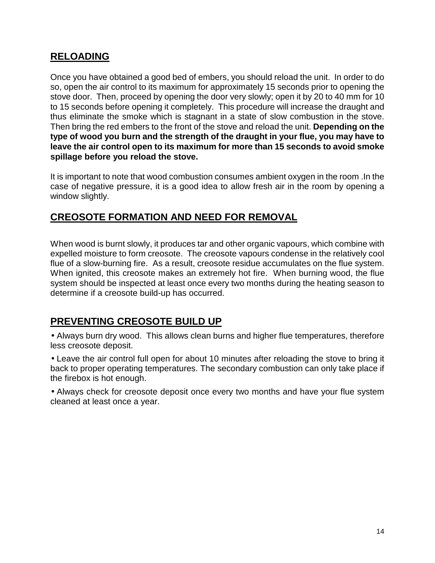### **RELOADING**

Once you have obtained a good bed of embers, you should reload the unit. In order to do so, open the air control to its maximum for approximately 15 seconds prior to opening the stove door. Then, proceed by opening the door very slowly; open it by 20 to 40 mm for 10 to 15 seconds before opening it completely. This procedure will increase the draught and thus eliminate the smoke which is stagnant in a state of slow combustion in the stove. Then bring the red embers to the front of the stove and reload the unit. **Depending on the type of wood you burn and the strength of the draught in your flue, you may have to leave the air control open to its maximum for more than 15 seconds to avoid smoke spillage before you reload the stove.** 

It is important to note that wood combustion consumes ambient oxygen in the room .In the case of negative pressure, it is a good idea to allow fresh air in the room by opening a window slightly.

### **CREOSOTE FORMATION AND NEED FOR REMOVAL**

When wood is burnt slowly, it produces tar and other organic vapours, which combine with expelled moisture to form creosote. The creosote vapours condense in the relatively cool flue of a slow-burning fire. As a result, creosote residue accumulates on the flue system. When ignited, this creosote makes an extremely hot fire. When burning wood, the flue system should be inspected at least once every two months during the heating season to determine if a creosote build-up has occurred.

### **PREVENTING CREOSOTE BUILD UP**

• Always burn dry wood. This allows clean burns and higher flue temperatures, therefore less creosote deposit.

• Leave the air control full open for about 10 minutes after reloading the stove to bring it back to proper operating temperatures. The secondary combustion can only take place if the firebox is hot enough.

• Always check for creosote deposit once every two months and have your flue system cleaned at least once a year.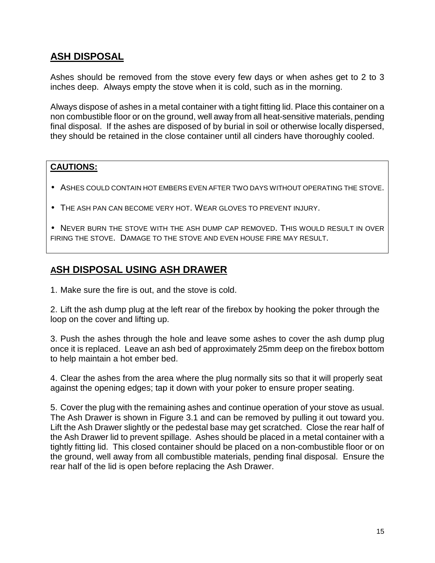### **ASH DISPOSAL**

Ashes should be removed from the stove every few days or when ashes get to 2 to 3 inches deep. Always empty the stove when it is cold, such as in the morning.

Always dispose of ashes in a metal container with a tight fitting lid. Place this container on a non combustible floor or on the ground, well away from all heat-sensitive materials, pending final disposal. If the ashes are disposed of by burial in soil or otherwise locally dispersed, they should be retained in the close container until all cinders have thoroughly cooled.

#### **CAUTIONS:**

- ASHES COULD CONTAIN HOT EMBERS EVEN AFTER TWO DAYS WITHOUT OPERATING THE STOVE.
- THE ASH PAN CAN BECOME VERY HOT. WEAR GLOVES TO PREVENT INJURY.
- NEVER BURN THE STOVE WITH THE ASH DUMP CAP REMOVED. THIS WOULD RESULT IN OVER FIRING THE STOVE. DAMAGE TO THE STOVE AND EVEN HOUSE FIRE MAY RESULT.

### **ASH DISPOSAL USING ASH DRAWER**

1. Make sure the fire is out, and the stove is cold.

2. Lift the ash dump plug at the left rear of the firebox by hooking the poker through the loop on the cover and lifting up.

3. Push the ashes through the hole and leave some ashes to cover the ash dump plug once it is replaced. Leave an ash bed of approximately 25mm deep on the firebox bottom to help maintain a hot ember bed.

4. Clear the ashes from the area where the plug normally sits so that it will properly seat against the opening edges; tap it down with your poker to ensure proper seating.

5. Cover the plug with the remaining ashes and continue operation of your stove as usual. The Ash Drawer is shown in Figure 3.1 and can be removed by pulling it out toward you. Lift the Ash Drawer slightly or the pedestal base may get scratched. Close the rear half of the Ash Drawer lid to prevent spillage. Ashes should be placed in a metal container with a tightly fitting lid. This closed container should be placed on a non-combustible floor or on the ground, well away from all combustible materials, pending final disposal. Ensure the rear half of the lid is open before replacing the Ash Drawer.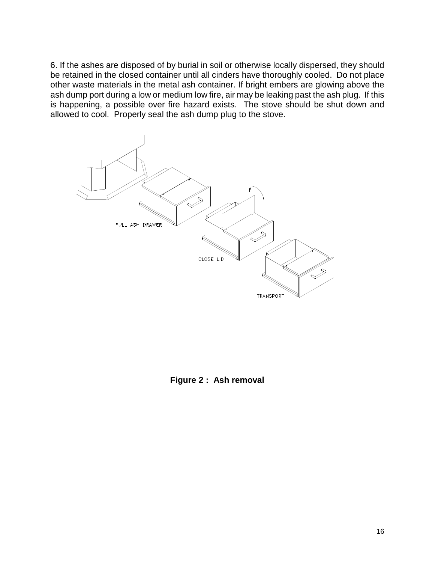6. If the ashes are disposed of by burial in soil or otherwise locally dispersed, they should be retained in the closed container until all cinders have thoroughly cooled. Do not place other waste materials in the metal ash container. If bright embers are glowing above the ash dump port during a low or medium low fire, air may be leaking past the ash plug. If this is happening, a possible over fire hazard exists. The stove should be shut down and allowed to cool. Properly seal the ash dump plug to the stove.



**Figure 2 : Ash removal**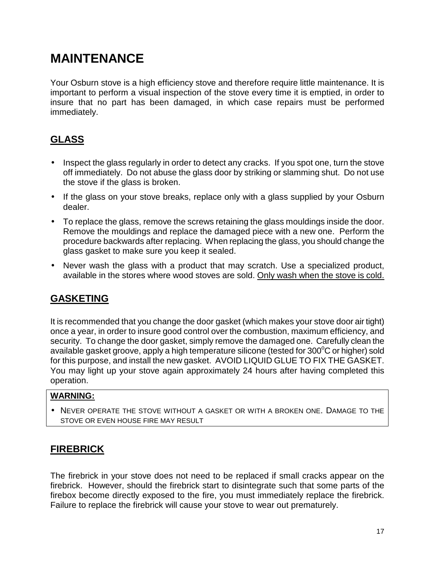## **MAINTENANCE**

Your Osburn stove is a high efficiency stove and therefore require little maintenance. It is important to perform a visual inspection of the stove every time it is emptied, in order to insure that no part has been damaged, in which case repairs must be performed immediately.

### **GLASS**

- Inspect the glass regularly in order to detect any cracks. If you spot one, turn the stove off immediately. Do not abuse the glass door by striking or slamming shut. Do not use the stove if the glass is broken.
- If the glass on your stove breaks, replace only with a glass supplied by your Osburn dealer.
- To replace the glass, remove the screws retaining the glass mouldings inside the door. Remove the mouldings and replace the damaged piece with a new one. Perform the procedure backwards after replacing. When replacing the glass, you should change the glass gasket to make sure you keep it sealed.
- Never wash the glass with a product that may scratch. Use a specialized product, available in the stores where wood stoves are sold. Only wash when the stove is cold.

#### **GASKETING**

It is recommended that you change the door gasket (which makes your stove door air tight) once a year, in order to insure good control over the combustion, maximum efficiency, and security. To change the door gasket, simply remove the damaged one. Carefully clean the available gasket groove, apply a high temperature silicone (tested for  $300^{\circ}$ C or higher) sold for this purpose, and install the new gasket. AVOID LIQUID GLUE TO FIX THE GASKET. You may light up your stove again approximately 24 hours after having completed this operation.

#### **WARNING:**

• NEVER OPERATE THE STOVE WITHOUT A GASKET OR WITH A BROKEN ONE. DAMAGE TO THE STOVE OR EVEN HOUSE FIRE MAY RESULT

### **FIREBRICK**

The firebrick in your stove does not need to be replaced if small cracks appear on the firebrick. However, should the firebrick start to disintegrate such that some parts of the firebox become directly exposed to the fire, you must immediately replace the firebrick. Failure to replace the firebrick will cause your stove to wear out prematurely.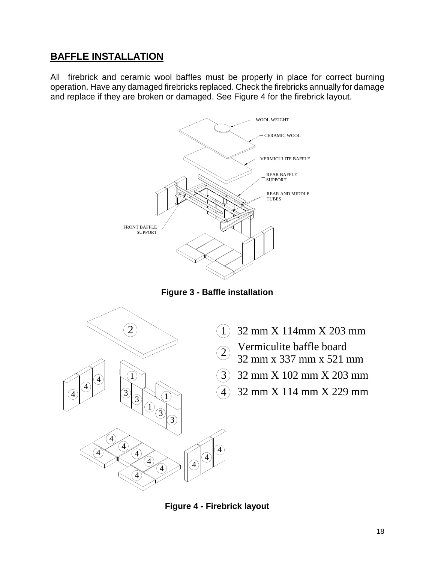### **BAFFLE INSTALLATION**

All firebrick and ceramic wool baffles must be properly in place for correct burning operation. Have any damaged firebricks replaced. Check the firebricks annually for damage and replace if they are broken or damaged. See Figure 4 for the firebrick layout.



**Figure 3 - Baffle installation** 



**Figure 4 - Firebrick layout**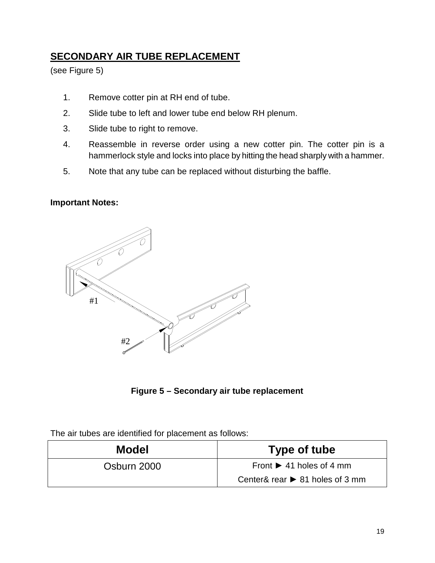### **SECONDARY AIR TUBE REPLACEMENT**

(see Figure 5)

- 1. Remove cotter pin at RH end of tube.
- 2. Slide tube to left and lower tube end below RH plenum.
- 3. Slide tube to right to remove.
- 4. Reassemble in reverse order using a new cotter pin. The cotter pin is a hammerlock style and locks into place by hitting the head sharply with a hammer.
- 5. Note that any tube can be replaced without disturbing the baffle.

#### **Important Notes:**



**Figure 5 – Secondary air tube replacement**

The air tubes are identified for placement as follows:

| <b>Model</b> | Type of tube                                   |
|--------------|------------------------------------------------|
| Osburn 2000  | Front $\triangleright$ 41 holes of 4 mm        |
|              | Center& rear $\triangleright$ 81 holes of 3 mm |